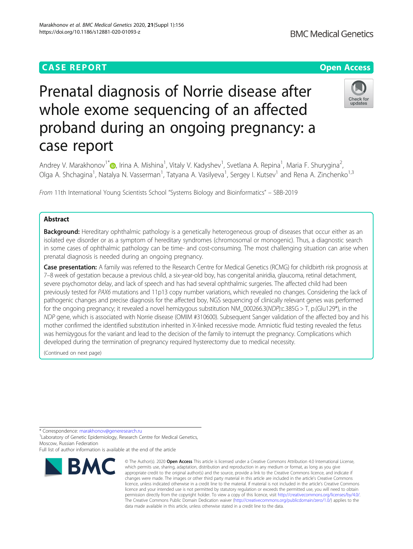# **CASE REPORT CASE ACCESS**

# Prenatal diagnosis of Norrie disease after whole exome sequencing of an affected proband during an ongoing pregnancy: a case report

Andrey V. Marakhonov<sup>1[\\*](http://orcid.org/0000-0002-0972-5118)</sup> (**p**, Irina A. Mishina<sup>1</sup>, Vitaly V. Kadyshev<sup>1</sup>, Svetlana A. Repina<sup>1</sup>, Maria F. Shurygina<sup>2</sup> , Olga A. Shchagina<sup>1</sup>, Natalya N. Vasserman<sup>1</sup>, Tatyana A. Vasilyeva<sup>1</sup>, Sergey I. Kutsev<sup>1</sup> and Rena A. Zinchenko<sup>1,3</sup>

From 11th International Young Scientists School "Systems Biology and Bioinformatics" – SBB-2019

# Abstract

**Background:** Hereditary ophthalmic pathology is a genetically heterogeneous group of diseases that occur either as an isolated eye disorder or as a symptom of hereditary syndromes (chromosomal or monogenic). Thus, a diagnostic search in some cases of ophthalmic pathology can be time- and cost-consuming. The most challenging situation can arise when prenatal diagnosis is needed during an ongoing pregnancy.

Case presentation: A family was referred to the Research Centre for Medical Genetics (RCMG) for childbirth risk prognosis at 7–8 week of gestation because a previous child, a six-year-old boy, has congenital aniridia, glaucoma, retinal detachment, severe psychomotor delay, and lack of speech and has had several ophthalmic surgeries. The affected child had been previously tested for PAX6 mutations and 11p13 copy number variations, which revealed no changes. Considering the lack of pathogenic changes and precise diagnosis for the affected boy, NGS sequencing of clinically relevant genes was performed for the ongoing pregnancy; it revealed a novel hemizygous substitution NM  $000266.3(NDP):c.385G > T$ , p.(Glu129\*), in the NDP gene, which is associated with Norrie disease (OMIM #310600). Subsequent Sanger validation of the affected boy and his mother confirmed the identified substitution inherited in X-linked recessive mode. Amniotic fluid testing revealed the fetus was hemizygous for the variant and lead to the decision of the family to interrupt the pregnancy. Complications which developed during the termination of pregnancy required hysterectomy due to medical necessity.

(Continued on next page)

\* Correspondence: [marakhonov@generesearch.ru](mailto:marakhonov@generesearch.ru) <sup>1</sup>

<sup>1</sup> Laboratory of Genetic Epidemiology, Research Centre for Medical Genetics, Moscow, Russian Federation





Full list of author information is available at the end of the article

<sup>©</sup> The Author(s), 2020 **Open Access** This article is licensed under a Creative Commons Attribution 4.0 International License, which permits use, sharing, adaptation, distribution and reproduction in any medium or format, as long as you give appropriate credit to the original author(s) and the source, provide a link to the Creative Commons licence, and indicate if changes were made. The images or other third party material in this article are included in the article's Creative Commons licence, unless indicated otherwise in a credit line to the material. If material is not included in the article's Creative Commons licence and your intended use is not permitted by statutory regulation or exceeds the permitted use, you will need to obtain permission directly from the copyright holder. To view a copy of this licence, visit [http://creativecommons.org/licenses/by/4.0/.](http://creativecommons.org/licenses/by/4.0/) The Creative Commons Public Domain Dedication waiver [\(http://creativecommons.org/publicdomain/zero/1.0/](http://creativecommons.org/publicdomain/zero/1.0/)) applies to the data made available in this article, unless otherwise stated in a credit line to the data.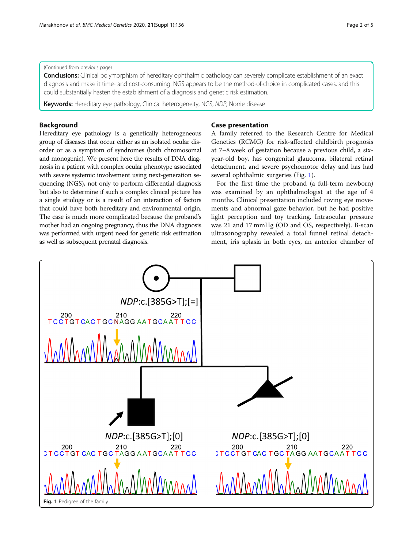## (Continued from previous page)

Conclusions: Clinical polymorphism of hereditary ophthalmic pathology can severely complicate establishment of an exact diagnosis and make it time- and cost-consuming. NGS appears to be the method-of-choice in complicated cases, and this could substantially hasten the establishment of a diagnosis and genetic risk estimation.

Keywords: Hereditary eye pathology, Clinical heterogeneity, NGS, NDP, Norrie disease

# Background

Hereditary eye pathology is a genetically heterogeneous group of diseases that occur either as an isolated ocular disorder or as a symptom of syndromes (both chromosomal and monogenic). We present here the results of DNA diagnosis in a patient with complex ocular phenotype associated with severe systemic involvement using next-generation sequencing (NGS), not only to perform differential diagnosis but also to determine if such a complex clinical picture has a single etiology or is a result of an interaction of factors that could have both hereditary and environmental origin. The case is much more complicated because the proband's mother had an ongoing pregnancy, thus the DNA diagnosis was performed with urgent need for genetic risk estimation as well as subsequent prenatal diagnosis.

# Case presentation

A family referred to the Research Centre for Medical Genetics (RCMG) for risk-affected childbirth prognosis at 7–8 week of gestation because a previous child, a sixyear-old boy, has congenital glaucoma, bilateral retinal detachment, and severe psychomotor delay and has had several ophthalmic surgeries (Fig. 1).

For the first time the proband (a full-term newborn) was examined by an ophthalmologist at the age of 4 months. Clinical presentation included roving eye movements and abnormal gaze behavior, but he had positive light perception and toy tracking. Intraocular pressure was 21 and 17 mmHg (OD and OS, respectively). B-scan ultrasonography revealed a total funnel retinal detachment, iris aplasia in both eyes, an anterior chamber of

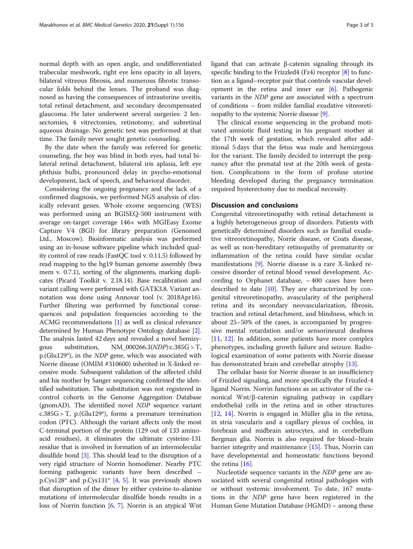normal depth with an open angle, and undifferentiated trabecular meshwork, right eye lens opacity in all layers, bilateral vitreous fibrosis, and numerous fibrotic transocular folds behind the lenses. The proband was diagnosed as having the consequences of intrauterine uveitis, total retinal detachment, and secondary decompensated glaucoma. He later underwent several surgeries: 2 lensectomies, 4 vitrectomies, retinotomy, and subretinal aqueous drainage. No genetic test was performed at that time. The family never sought genetic counseling.

By the date when the family was referred for genetic counseling, the boy was blind in both eyes, had total bilateral retinal detachment, bilateral iris aplasia, left eye phthisis bulbi, pronounced delay in psycho-emotional development, lack of speech, and behavioral disorder.

Considering the ongoing pregnancy and the lack of a confirmed diagnosis, we performed NGS analysis of clinically relevant genes. Whole exome sequencing (WES) was performed using an BGISEQ-500 instrument with average on-target coverage 146× with MGIEasy Exome Capture V4 (BGI) for library preparation (Genomed Ltd., Moscow). Bioinformatic analysis was performed using an in-house software pipeline which included quality control of raw reads (FastQC tool v. 0.11.5) followed by read mapping to the hg19 human genome assembly (bwa mem v. 0.7.1), sorting of the alignments, marking duplicates (Picard Toolkit v. 2.18.14). Base recalibration and variant calling were performed with GATK3.8. Variant annotation was done using Annovar tool (v. 2018Apr16). Further filtering was performed by functional consequences and population frequencies according to the ACMG recommendations [\[1](#page-3-0)] as well as clinical relevance determined by Human Phenotype Ontology database [[2](#page-3-0)]. The analysis lasted 42 days and revealed a novel hemizygous substitution, NM\_000266.3(NDP):c.385G > T, p.(Glu129\*), in the NDP gene, which was associated with Norrie disease (OMIM #310600) inherited in X-linked recessive mode. Subsequent validation of the affected child and his mother by Sanger sequencing confirmed the identified substitution. The substitution was not registered in control cohorts in the Genome Aggregation Database (gnomAD). The identified novel NDP sequence variant  $c.385G > T$ , p.(Glu129<sup>\*</sup>), forms a premature termination codon (PTC). Although the variant affects only the most C-terminal portion of the protein (129 out of 133 aminoacid residues), it eliminates the ultimate cysteine-131 residue that is involved in formation of an intermolecular disulfide bond [\[3](#page-3-0)]. This should lead to the disruption of a very rigid structure of Norrin homodimer. Nearby PTC forming pathogenic variants have been described – p.Cys128\* and p.Cys131\* [[4,](#page-3-0) [5\]](#page-3-0). It was previously shown that disruption of the dimer by either cysteine-to-alanine mutations of intermolecular disulfide bonds results in a loss of Norrin function [[6,](#page-3-0) [7](#page-3-0)]. Norrin is an atypical Wnt ligand that can activate β-catenin signaling through its specific binding to the Frizzled<sub>4</sub> (Fz<sub>4</sub>) receptor [\[8\]](#page-3-0) to function as a ligand–receptor pair that controls vascular development in the retina and inner ear  $[6]$  $[6]$  $[6]$ . Pathogenic variants in the NDP gene are associated with a spectrum of conditions – from milder familial exudative vitreoretinopathy to the systemic Norrie disease [\[9\]](#page-3-0).

The clinical exome sequencing in the proband motivated amniotic fluid testing in his pregnant mother at the 17th week of gestation, which revealed after additional 5 days that the fetus was male and hemizygous for the variant. The family decided to interrupt the pregnancy after the prenatal test at the 20th week of gestation. Complications in the form of profuse uterine bleeding developed during the pregnancy termination required hysterectomy due to medical necessity.

## Discussion and conclusions

Congenital vitreoretinopathy with retinal detachment is a highly heterogeneous group of disorders. Patients with genetically determined disorders such as familial exudative vitreoretinopathy, Norrie disease, or Coats disease, as well as non-hereditary retinopathy of prematurity or inflammation of the retina could have similar ocular manifestations [\[9\]](#page-3-0). Norrie disease is a rare X-linked recessive disorder of retinal blood vessel development. According to Orphanet database,  $\sim$  400 cases have been described to date  $[10]$  $[10]$  $[10]$ . They are characterized by congenital vitreoretinopathy, avascularity of the peripheral retina and its secondary neovascularization, fibrosis, traction and retinal detachment, and blindness, which in about 25–50% of the cases, is accompanied by progressive mental retardation and/or sensorineural deafness [[11,](#page-3-0) [12\]](#page-3-0). In addition, some patients have more complex phenotypes, including growth failure and seizure. Radiological examination of some patients with Norrie disease has demonstrated brain and cerebellar atrophy [\[13](#page-3-0)].

The cellular basis for Norrie disease is an insufficiency of Frizzled signaling, and more specifically the Frizzled-4 ligand Norrin. Norrin functions as an activator of the canonical Wnt/β-catenin signaling pathway in capillary endothelial cells in the retina and in other structures [[12,](#page-3-0) [14\]](#page-3-0). Norrin is engaged in Müller glia in the retina, in stria vascularis and a capillary plexus of cochlea, in forebrain and midbrain astrocytes, and in cerebellum Bergman glia. Norrin is also required for blood–brain barrier integrity and maintenance [[15\]](#page-3-0). Thus, Norrin can have developmental and homeostatic functions beyond the retina  $[16]$  $[16]$ .

Nucleotide sequence variants in the NDP gene are associated with several congenital retinal pathologies with or without systemic involvement. To date, 167 mutations in the NDP gene have been registered in the Human Gene Mutation Database (HGMD) – among these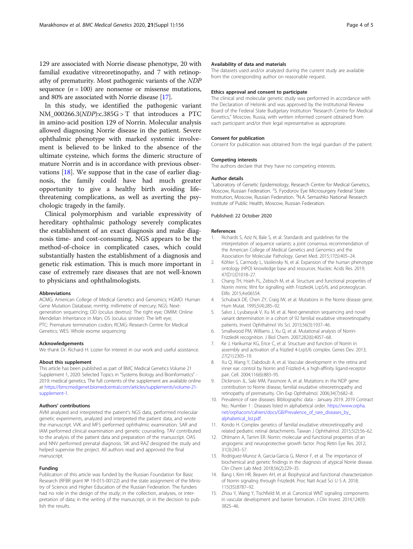<span id="page-3-0"></span>129 are associated with Norrie disease phenotype, 20 with familial exudative vitreoretinopathy, and 7 with retinopathy of prematurity. Most pathogenic variants of the NDP sequence  $(n = 100)$  are nonsense or missense mutations, and 80% are associated with Norrie disease [[17](#page-4-0)].

In this study, we identified the pathogenic variant NM\_000266.3(NDP):c.385G > T that introduces a PTC in amino-acid position 129 of Norrin. Molecular analysis allowed diagnosing Norrie disease in the patient. Severe ophthalmic phenotype with marked systemic involvement is believed to be linked to the absence of the ultimate cysteine, which forms the dimeric structure of mature Norrin and is in accordance with previous observations [[18\]](#page-4-0). We suppose that in the case of earlier diagnosis, the family could have had much greater opportunity to give a healthy birth avoiding lifethreatening complications, as well as averting the psychologic tragedy in the family.

Clinical polymorphism and variable expressivity of hereditary ophthalmic pathology severely complicates the establishment of an exact diagnosis and make diagnosis time- and cost-consuming. NGS appears to be the method-of-choice in complicated cases, which could substantially hasten the establishment of a diagnosis and genetic risk estimation. This is much more important in case of extremely rare diseases that are not well-known to physicians and ophthalmologists.

#### Abbreviations

ACMG: American College of Medical Genetics and Genomics; HGMD: Human Gene Mutation Database; mmHg: millimetre of mercury; NGS: Nextgeneration sequencing; OD (oculus dextrus): The right eye; OMIM: Online Mendelian Inheritance in Man; OS (oculus sinister): The left eye; PTC: Premature termination codon; RCMG: Research Centre for Medical Genetics; WES: Whole exome sequencing

#### Acknowledgements

We thank Dr. Richard H. Lozier for interest in our work and useful assistance.

## About this supplement

This article has been published as part of BMC Medical Genetics Volume 21 Supplement 1, 2020: Selected Topics in "Systems Biology and Bioinformatics" - 2019: medical genetics. The full contents of the supplement are available online at [https://bmcmedgenet.biomedcentral.com/articles/supplements/volume-21](https://bmcmedgenet.biomedcentral.com/articles/supplements/volume-21-supplement-1) [supplement-1](https://bmcmedgenet.biomedcentral.com/articles/supplements/volume-21-supplement-1).

#### Authors' contributions

AVM analyzed and interpreted the patient's NGS data, performed molecular genetic experiments, analyzed and interpreted the patient data, and wrote the manuscript. VVK and MFS performed ophthalmic examination. SAR and IAM performed clinical examination and genetic counseling. TAV contributed to the analysis of the patient data and preparation of the manuscript. OAS and NNV performed prenatal diagnosis. SIK and RAZ designed the study and helped supervise the project. All authors read and approved the final manuscript.

## Funding

Publication of this article was funded by the Russian Foundation for Basic Research (RFBR grant № 19-015-00122) and the state assignment of the Ministry of Science and Higher Education of the Russian Federation. The funders had no role in the design of the study; in the collection, analyses, or interpretation of data; in the writing of the manuscript, or in the decision to publish the results.

## Availability of data and materials

The datasets used and/or analyzed during the current study are available from the corresponding author on reasonable request.

#### Ethics approval and consent to participate

The clinical and molecular genetic study was performed in accordance with the Declaration of Helsinki and was approved by the Institutional Review Board of the Federal State Budgetary Institution "Research Centre for Medical Genetics," Moscow, Russia, with written informed consent obtained from each participant and/or their legal representative as appropriate.

#### Consent for publication

Consent for publication was obtained from the legal guardian of the patient.

#### Competing interests The authors declare that they have no competing interests.

#### Author details

<sup>1</sup> Laboratory of Genetic Epidemiology, Research Centre for Medical Genetics Moscow, Russian Federation. <sup>2</sup>S. Fyodorov Eye Microsurgery Federal State Institution, Moscow, Russian Federation. <sup>3</sup>N.A. Semashko National Research Institute of Public Health, Moscow, Russian Federation.

#### Published: 22 October 2020

#### References

- 1. Richards S, Aziz N, Bale S, et al. Standards and guidelines for the interpretation of sequence variants: a joint consensus recommendation of the American College of Medical Genetics and Genomics and the Association for Molecular Pathology. Genet Med. 2015;17(5):405–24.
- 2. Köhler S, Carmody L, Vasilevsky N, et al. Expansion of the human phenotype ontology (HPO) knowledge base and resources. Nucleic Acids Res. 2019; 47(D1):D1018–27.
- 3. Chang TH, Hsieh FL, Zebisch M, et al. Structure and functional properties of Norrin mimic Wnt for signalling with Frizzled4, Lrp5/6, and proteoglycan. Elife. 2015;4:e06554.
- 4. Schuback DE, Chen ZY, Craig IW, et al. Mutations in the Norrie disease gene. Hum Mutat. 1995;5(4):285–92.
- 5. Salvo J, Lyubasyuk V, Xu M, et al. Next-generation sequencing and novel variant determination in a cohort of 92 familial exudative vitreoretinopathy patients. Invest Ophthalmol Vis Sci. 2015;56(3):1937–46.
- 6. Smallwood PM, Williams J, Xu Q, et al. Mutational analysis of Norrin-Frizzled4 recognition. J Biol Chem. 2007;282(6):4057–68.
- 7. Ke J, Harikumar KG, Erice C, et al. Structure and function of Norrin in assembly and activation of a frizzled 4-Lrp5/6 complex. Genes Dev. 2013; 27(21):2305–19.
- Xu Q, Wang Y, Dabdoub A, et al. Vascular development in the retina and inner ear: control by Norrin and Frizzled-4, a high-affinity ligand-receptor pair. Cell. 2004;116(6):883–95.
- 9. Dickinson JL, Sale MM, Passmore A, et al. Mutations in the NDP gene: contribution to Norrie disease, familial exudative vitreoretinopathy and retinopathy of prematurity. Clin Exp Ophthalmol. 2006;34(7):682–8.
- 10. Prevalence of rare diseases: Bibliographic data January 2019. 2019 Contract No.: Number 1 : Diseases listed in alphabetical order. [https://www.orpha.](https://www.orpha.net/orphacom/cahiers/docs/GB/Prevalence_of_rare_diseases_by_alphabetical_list.pdf) [net/orphacom/cahiers/docs/GB/Prevalence\\_of\\_rare\\_diseases\\_by\\_](https://www.orpha.net/orphacom/cahiers/docs/GB/Prevalence_of_rare_diseases_by_alphabetical_list.pdf) [alphabetical\\_list.pdf.](https://www.orpha.net/orphacom/cahiers/docs/GB/Prevalence_of_rare_diseases_by_alphabetical_list.pdf)
- 11. Kondo H. Complex genetics of familial exudative vitreoretinopathy and related pediatric retinal detachments. Taiwan J Ophthalmol. 2015;5(2):56–62.
- 12. Ohlmann A, Tamm ER. Norrin: molecular and functional properties of an angiogenic and neuroprotective growth factor. Prog Retin Eye Res. 2012; 31(3):243–57.
- 13. Rodriguez-Munoz A, Garcia-Garcia G, Menor F, et al. The importance of biochemical and genetic findings in the diagnosis of atypical Norrie disease. Clin Chem Lab Med. 2018;56(2):229–35.
- 14. Bang I, Kim HR, Beaven AH, et al. Biophysical and functional characterization of Norrin signaling through Frizzled4. Proc Natl Acad Sci U S A. 2018; 115(35):8787–92.
- 15. Zhou Y, Wang Y, Tischfield M, et al. Canonical WNT signaling components in vascular development and barrier formation. J Clin Invest. 2014;124(9): 3825–46.